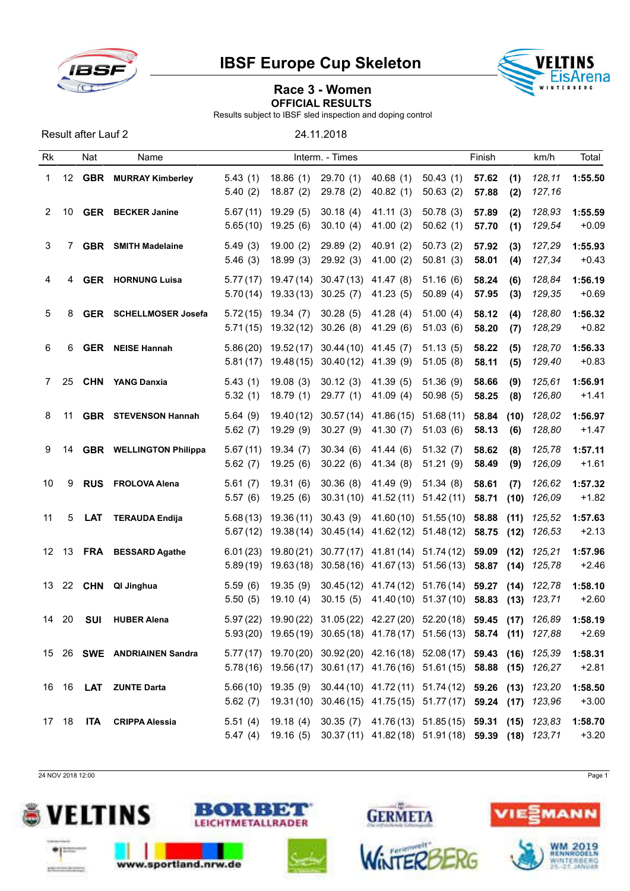



# Race 3 - Women OFFICIAL RESULTS

Results subject to IBSF sled inspection and doping control

Result after Lauf 2 24.11.2018

| Rk             |       | Nat        | Name                           |                      |                         | Interm. - Times        |                                                                                                                                                    |                          | Finish         |              | km/h             | Total              |
|----------------|-------|------------|--------------------------------|----------------------|-------------------------|------------------------|----------------------------------------------------------------------------------------------------------------------------------------------------|--------------------------|----------------|--------------|------------------|--------------------|
| 1              | 12    | <b>GBR</b> | <b>MURRAY Kimberley</b>        | 5.43(1)<br>5.40(2)   | 18.86(1)<br>18.87(2)    | 29.70 (1)<br>29.78 (2) | 40.68(1)<br>40.82(1)                                                                                                                               | 50.43(1)<br>50.63(2)     | 57.62<br>57.88 | (1)<br>(2)   | 128,11<br>127,16 | 1:55.50            |
| $\overline{2}$ | 10    |            | <b>GER</b> BECKER Janine       | 5.67(11)<br>5.65(10) | 19.29(5)<br>19.25(6)    | 30.18(4)<br>30.10(4)   | 41.11(3)<br>41.00 (2)                                                                                                                              | 50.78(3)<br>50.62(1)     | 57.89<br>57.70 | (2)<br>(1)   | 128,93<br>129,54 | 1:55.59<br>$+0.09$ |
| 3              | 7     |            | <b>GBR</b> SMITH Madelaine     | 5.49(3)<br>5.46(3)   | 19.00(2)<br>18.99(3)    | 29.89(2)<br>29.92(3)   | 40.91(2)<br>41.00(2)                                                                                                                               | 50.73(2)<br>50.81(3)     | 57.92<br>58.01 | (3)<br>(4)   | 127,29<br>127,34 | 1:55.93<br>$+0.43$ |
| 4              | 4     |            | <b>GER HORNUNG Luisa</b>       | 5.77(17)<br>5.70(14) | 19.47 (14)<br>19.33(13) | 30.47(13)<br>30.25(7)  | 41.47 (8)<br>41.23(5)                                                                                                                              | 51.16(6)<br>50.89(4)     | 58.24<br>57.95 | (6)<br>(3)   | 128,84<br>129,35 | 1:56.19<br>$+0.69$ |
| 5              | 8     |            | <b>GER</b> SCHELLMOSER Josefa  | 5.72(15)<br>5.71(15) | 19.34(7)<br>19.32 (12)  | 30.28(5)<br>30.26(8)   | 41.28(4)<br>41.29 (6)                                                                                                                              | 51.00(4)<br>51.03(6)     | 58.12<br>58.20 | (4)<br>(7)   | 128,80<br>128,29 | 1:56.32<br>$+0.82$ |
| 6              | 6     | <b>GER</b> | <b>NEISE Hannah</b>            | 5.86(20)<br>5.81(17) | 19.52(17)<br>19.48 (15) | 30.44(10)<br>30.40(12) | 41.45 (7)<br>41.39 (9)                                                                                                                             | 51.13(5)<br>51.05(8)     | 58.22<br>58.11 | (5)<br>(5)   | 128,70<br>129,40 | 1:56.33<br>$+0.83$ |
| 7              | 25    |            | <b>CHN YANG Danxia</b>         | 5.43(1)<br>5.32(1)   | 19.08(3)<br>18.79(1)    | 30.12(3)<br>29.77(1)   | 41.39(5)<br>41.09(4)                                                                                                                               | 51.36(9)<br>50.98(5)     | 58.66<br>58.25 | (9)<br>(8)   | 125,61<br>126,80 | 1:56.91<br>$+1.41$ |
| 8              | 11    |            | <b>GBR</b> STEVENSON Hannah    | 5.64(9)<br>5.62(7)   | 19.40 (12)<br>19.29(9)  | 30.57(14)<br>30.27(9)  | 41.86 (15)<br>41.30 (7)                                                                                                                            | 51.68(11)<br>51.03(6)    | 58.84<br>58.13 | (10)<br>(6)  | 128,02<br>128,80 | 1:56.97<br>$+1.47$ |
| 9              | 14    |            | <b>GBR</b> WELLINGTON Philippa | 5.67(11)<br>5.62(7)  | 19.34(7)<br>19.25(6)    | 30.34(6)<br>30.22(6)   | 41.44(6)<br>41.34 (8)                                                                                                                              | 51.32(7)<br>51.21(9)     | 58.62<br>58.49 | (8)<br>(9)   | 125,78<br>126,09 | 1:57.11<br>$+1.61$ |
| 10             | 9     | <b>RUS</b> | <b>FROLOVA Alena</b>           | 5.61(7)<br>5.57(6)   | 19.31(6)<br>19.25(6)    | 30.36(8)<br>30.31(10)  | 41.49 (9)<br>41.52(11)                                                                                                                             | 51.34(8)<br>51.42(11)    | 58.61<br>58.71 | (7)<br>(10)  | 126,62<br>126,09 | 1:57.32<br>$+1.82$ |
| 11             | 5     | LAT        | <b>TERAUDA Endija</b>          | 5.68(13)<br>5.67(12) | 19.36(11)<br>19.38(14)  | 30.43(9)               | 41.60 (10)<br>30.45 (14) 41.62 (12)                                                                                                                | 51.55(10)<br>51.48 (12)  | 58.88<br>58.75 | (11)<br>(12) | 125,52<br>126,53 | 1:57.63<br>$+2.13$ |
| 12             | 13    | <b>FRA</b> | <b>BESSARD Agathe</b>          | 6.01(23)<br>5.89(19) | 19.80(21)<br>19.63 (18) |                        | 30.77 (17) 41.81 (14) 51.74 (12)<br>$30.58(16)$ 41.67(13)                                                                                          | 51.56(13)                | 59.09<br>58.87 | (12)<br>(14) | 125,21<br>125,78 | 1:57.96<br>$+2.46$ |
| 13             |       |            | 22 CHN QI Jinghua              | 5.59(6)<br>5.50(5)   | 19.35(9)<br>19.10(4)    | 30.45(12)<br>30.15(5)  | 41.74 (12)<br>41.40 (10)                                                                                                                           | 51.76 (14)<br>51.37 (10) | 59.27<br>58.83 | (14)<br>(13) | 122,78<br>123,71 | 1:58.10<br>$+2.60$ |
| 14             | 20    | SUI        | <b>HUBER Alena</b>             |                      |                         |                        | 5.97 (22) 19.90 (22) 31.05 (22) 42.27 (20) 52.20 (18) 59.45 (17) 126,89<br>5.93 (20) 19.65 (19) 30.65 (18) 41.78 (17) 51.56 (13) 58.74 (11) 127,88 |                          |                |              |                  | 1:58.19<br>$+2.69$ |
|                |       |            | 15 26 SWE ANDRIAINEN Sandra    |                      |                         |                        | 5.77 (17) 19.70 (20) 30.92 (20) 42.16 (18) 52.08 (17) 59.43 (16) 125,39<br>5.78(16) 19.56(17) 30.61(17) 41.76(16) 51.61(15) 58.88 (15) 126,27      |                          |                |              |                  | 1:58.31<br>$+2.81$ |
|                |       |            | 16 16 LAT ZUNTE Darta          | 5.62(7)              |                         |                        | 5.66(10) 19.35(9) 30.44(10) 41.72(11) 51.74(12) 59.26 (13) 123,20<br>19.31(10) 30.46(15) 41.75(15) 51.77(17) 59.24 (17) 123,96                     |                          |                |              |                  | 1:58.50<br>$+3.00$ |
|                | 17 18 | ITA        | <b>CRIPPA Alessia</b>          | 5.51(4)              |                         |                        | 19.18 (4) 30.35 (7) 41.76 (13) 51.85 (15) 59.31 (15) 123,83<br>5.47 (4) 19.16 (5) 30.37 (11) 41.82 (18) 51.91 (18) 59.39 (18) 123,71               |                          |                |              |                  | 1:58.70<br>$+3.20$ |

24 NOV 2018 12:00 Page 1









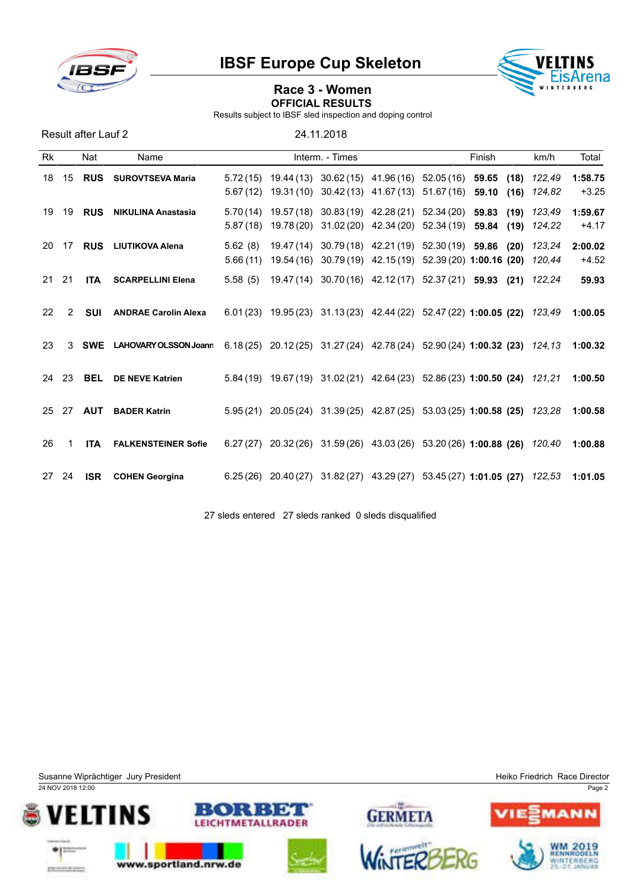



# Race 3 - Women OFFICIAL RESULTS

Results subject to IBSF sled inspection and doping control

Result after Lauf 2 24.11.2018

| <b>Rk</b> |    | Nat        | Name                         |                      |                          | Interm. - Times |                                                          |                          | Finish                                                                    | km/h             | Total              |
|-----------|----|------------|------------------------------|----------------------|--------------------------|-----------------|----------------------------------------------------------|--------------------------|---------------------------------------------------------------------------|------------------|--------------------|
| 18        | 15 | <b>RUS</b> | <b>SUROVTSEVA Maria</b>      | 5.72(15)<br>5.67(12) | 19.44 (13)<br>19.31 (10) |                 | $30.62(15)$ 41.96(16) 52.05(16)<br>$30.42(13)$ 41.67(13) | 51.67 (16)               | 59.65<br>(18)<br>59.10<br>(16)                                            | 122,49<br>124,82 | 1:58.75<br>$+3.25$ |
| 19        | 19 | <b>RUS</b> | <b>NIKULINA Anastasia</b>    | 5.70(14)<br>5.87(18) | 19.57 (18)<br>19.78 (20) |                 | $30.83(19)$ 42.28(21)<br>31.02 (20) 42.34 (20)           | 52.34 (20)<br>52.34 (19) | 59.83<br>(19)<br>59.84<br>(19)                                            | 123.49<br>124,22 | 1:59.67<br>$+4.17$ |
| 20        | 17 | <b>RUS</b> | LIUTIKOVA Alena              | 5.62(8)<br>5.66(11)  | 19.47 (14)<br>19.54 (16) |                 | 30.79 (18) 42.21 (19) 52.30 (19) 59.86                   |                          | (20)<br>30.79 (19) 42.15 (19) 52.39 (20) 1:00.16 (20)                     | 123,24<br>120.44 | 2:00.02<br>$+4.52$ |
| 21        | 21 | <b>ITA</b> | <b>SCARPELLINI Elena</b>     | 5.58(5)              |                          |                 | 19.47 (14) 30.70 (16) 42.12 (17) 52.37 (21) 59.93        |                          | (21)                                                                      | 122,24           | 59.93              |
| 22        | 2  | SUI        | <b>ANDRAE Carolin Alexa</b>  |                      |                          |                 |                                                          |                          | $6.01(23)$ 19.95 (23) 31.13 (23) 42.44 (22) 52.47 (22) 1:00.05 (22)       | 123,49           | 1:00.05            |
| 23        | 3  | <b>SWE</b> | <b>LAHOVARY OLSSON Joann</b> |                      |                          |                 |                                                          |                          | $6.18(25)$ 20.12(25) 31.27(24) 42.78(24) 52.90(24) 1:00.32(23)            | 124.13           | 1:00.32            |
| 24        | 23 | <b>BEL</b> | <b>DE NEVE Katrien</b>       |                      |                          |                 |                                                          |                          | 5.84 (19) 19.67 (19) 31.02 (21) 42.64 (23) 52.86 (23) 1:00.50 (24) 121,21 |                  | 1:00.50            |
| 25        | 27 | <b>AUT</b> | <b>BADER Katrin</b>          |                      |                          |                 |                                                          |                          | 5.95 (21) 20.05 (24) 31.39 (25) 42.87 (25) 53.03 (25) 1:00.58 (25) 123,28 |                  | 1:00.58            |
| 26        |    | <b>ITA</b> | <b>FALKENSTEINER Sofie</b>   | 6.27(27)             |                          |                 | 20.32 (26) 31.59 (26) 43.03 (26)                         |                          | $53.20(26)$ 1:00.88 (26)                                                  | 120.40           | 1:00.88            |
| 27        | 24 | <b>ISR</b> | <b>COHEN Georgina</b>        |                      |                          |                 |                                                          |                          | 6.25 (26) 20.40 (27) 31.82 (27) 43.29 (27) 53.45 (27) 1:01.05 (27) 122,53 |                  | 1:01.05            |

27 sleds entered 27 sleds ranked 0 sleds disqualified

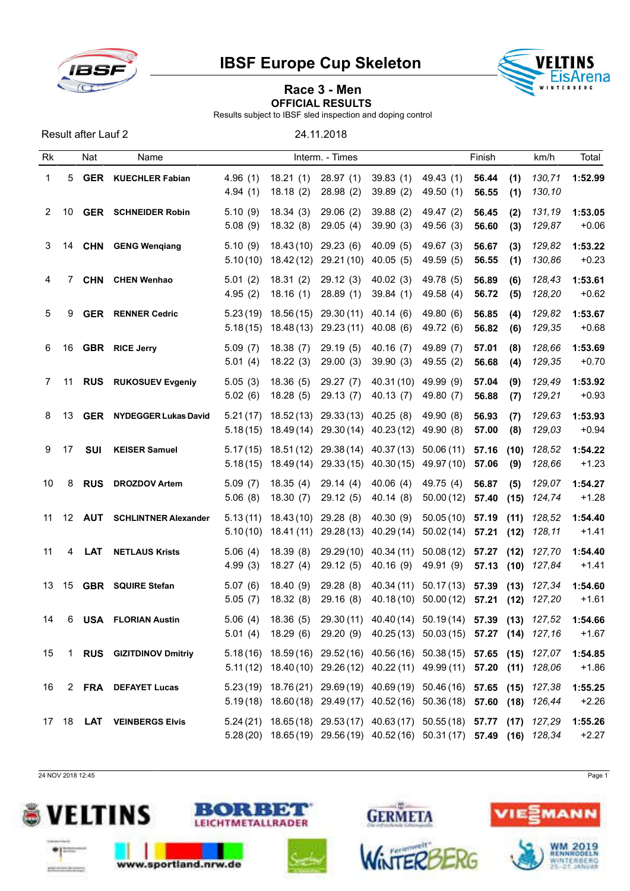



# Race 3 - Men OFFICIAL RESULTS

Results subject to IBSF sled inspection and doping control

Result after Lauf 2 24.11.2018

| Rk             |    | Nat           | Name                        |                      |                                   | Interm. - Times         |                          |                                                                                                                                                    | Finish             |              | km/h             | Total              |
|----------------|----|---------------|-----------------------------|----------------------|-----------------------------------|-------------------------|--------------------------|----------------------------------------------------------------------------------------------------------------------------------------------------|--------------------|--------------|------------------|--------------------|
| 1              | 5  | <b>GER</b>    | <b>KUECHLER Fabian</b>      | 4.96(1)<br>4.94(1)   | 18.21(1)<br>18.18(2)              | 28.97(1)<br>28.98(2)    | 39.83(1)<br>39.89(2)     | 49.43 (1)<br>49.50 (1)                                                                                                                             | 56.44<br>56.55     | (1)<br>(1)   | 130,71<br>130,10 | 1:52.99            |
| $\overline{2}$ | 10 |               | <b>GER</b> SCHNEIDER Robin  | 5.10(9)<br>5.08(9)   | 18.34(3)<br>18.32(8)              | 29.06(2)<br>29.05(4)    | 39.88(2)<br>39.90(3)     | 49.47 (2)<br>49.56 (3)                                                                                                                             | 56.45<br>56.60     | (2)<br>(3)   | 131,19<br>129,87 | 1:53.05<br>$+0.06$ |
| 3              |    |               | 14 CHN GENG Wengiang        | 5.10(9)<br>5.10(10)  | 18.43 (10) 29.23 (6)<br>18.42(12) | 29.21 (10)              | 40.09(5)<br>40.05(5)     | 49.67 (3)<br>49.59 (5)                                                                                                                             | 56.67<br>56.55     | (3)<br>(1)   | 129,82<br>130,86 | 1:53.22<br>$+0.23$ |
| 4              | 7  | <b>CHN</b>    | <b>CHEN Wenhao</b>          | 5.01(2)<br>4.95(2)   | 18.31(2)<br>18.16(1)              | 29.12(3)<br>28.89(1)    | 40.02(3)<br>39.84(1)     | 49.78 (5)<br>49.58 (4)                                                                                                                             | 56.89<br>56.72     | (6)<br>(5)   | 128,43<br>128,20 | 1:53.61<br>$+0.62$ |
| 5              | 9  | <b>GER</b>    | <b>RENNER Cedric</b>        | 5.23(19)<br>5.18(15) | 18.56(15)<br>18.48 (13)           | 29.30(11)<br>29.23 (11) | 40.14(6)<br>40.08(6)     | 49.80 (6)<br>49.72 (6)                                                                                                                             | 56.85<br>56.82     | (4)<br>(6)   | 129,82<br>129,35 | 1:53.67<br>$+0.68$ |
| 6              | 16 |               | <b>GBR</b> RICE Jerry       | 5.09(7)<br>5.01(4)   | 18.38(7)<br>18.22(3)              | 29.19(5)<br>29.00(3)    | 40.16(7)<br>39.90(3)     | 49.89 (7)<br>49.55(2)                                                                                                                              | 57.01<br>56.68     | (8)<br>(4)   | 128,66<br>129,35 | 1:53.69<br>$+0.70$ |
| 7              | 11 |               | <b>RUS</b> RUKOSUEV Evgeniy | 5.05(3)<br>5.02(6)   | 18.36(5)<br>18.28(5)              | 29.27(7)<br>29.13 (7)   | 40.31 (10)<br>40.13(7)   | 49.99 (9)<br>49.80 (7)                                                                                                                             | 57.04<br>56.88     | (9)<br>(7)   | 129,49<br>129,21 | 1:53.92<br>$+0.93$ |
| 8              | 13 | <b>GER</b>    | <b>NYDEGGER Lukas David</b> | 5.21(17)<br>5.18(15) | 18.52 (13)<br>18.49 (14)          | 29.33(13)<br>29.30 (14) | 40.25(8)<br>40.23(12)    | 49.90 (8)<br>49.90 (8)                                                                                                                             | 56.93<br>57.00     | (7)<br>(8)   | 129,63<br>129,03 | 1:53.93<br>$+0.94$ |
| 9              | 17 | <b>SUI</b>    | <b>KEISER Samuel</b>        | 5.17(15)<br>5.18(15) | 18.51 (12)<br>18.49(14)           | 29.38 (14)<br>29.33(15) | 40.37 (13)<br>40.30 (15) | 50.06(11)<br>49.97 (10)                                                                                                                            | 57.16<br>57.06     | (10)<br>(9)  | 128,52<br>128,66 | 1:54.22<br>$+1.23$ |
| 10             | 8  | <b>RUS</b>    | <b>DROZDOV Artem</b>        | 5.09(7)<br>5.06(8)   | 18.35(4)<br>18.30(7)              | 29.14(4)<br>29.12(5)    | 40.06(4)<br>40.14 (8)    | 49.75 (4)<br>50.00(12)                                                                                                                             | 56.87<br>57.40     | (5)<br>(15)  | 129,07<br>124,74 | 1:54.27<br>$+1.28$ |
| 11             |    | <b>12 AUT</b> | <b>SCHLINTNER Alexander</b> | 5.13(11)<br>5.10(10) | 18.43(10)<br>18.41(11)            | 29.28(8)<br>29.28 (13)  | 40.30(9)<br>40.29(14)    | 50.05(10)<br>50.02(14)                                                                                                                             | 57.19<br>57.21     | (11)<br>(12) | 128,52<br>128,11 | 1:54.40<br>$+1.41$ |
| 11             | 4  | <b>LAT</b>    | <b>NETLAUS Krists</b>       | 5.06(4)<br>4.99(3)   | 18.39(8)<br>18.27(4)              | 29.29(10)<br>29.12(5)   | 40.34 (11)<br>40.16(9)   | 50.08(12)<br>49.91 (9)                                                                                                                             | 57.27<br>57.13(10) | (12)         | 127,70<br>127,84 | 1:54.40<br>$+1.41$ |
| 13             | 15 |               | <b>GBR</b> SQUIRE Stefan    | 5.07(6)<br>5.05(7)   | 18.40(9)<br>18.32(8)              | 29.28(8)<br>29.16(8)    | 40.34 (11)<br>40.18 (10) | 50.17(13)<br>50.00 (12)                                                                                                                            | 57.39<br>57.21     | (13)<br>(12) | 127,34<br>127,20 | 1:54.60<br>$+1.61$ |
| 14             | 6  | USA           | <b>FLORIAN Austin</b>       | 5.06(4)              | 18.36 (5)                         |                         |                          | 29.30 (11) 40.40 (14) 50.19 (14) 57.39 (13) 127,52<br>5.01 (4) 18.29 (6) 29.20 (9) 40.25 (13) 50.03 (15) 57.27 (14) 127,16                         |                    |              |                  | 1:54.66<br>$+1.67$ |
| 15             |    |               | 1 RUS GIZITDINOV Dmitriy    |                      |                                   |                         |                          | 5.18(16) 18.59(16) 29.52(16) 40.56(16) 50.38(15) 57.65 (15) 127,07<br>5.11 (12) 18.40 (10) 29.26 (12) 40.22 (11) 49.99 (11) 57.20 (11) 128,06      |                    |              |                  | 1:54.85<br>$+1.86$ |
| 16             |    |               | 2 FRA DEFAYET Lucas         |                      |                                   |                         |                          | 5.23 (19) 18.76 (21) 29.69 (19) 40.69 (19) 50.46 (16) 57.65 (15) 127,38<br>5.19(18) 18.60(18) 29.49(17) 40.52(16) 50.36(18) 57.60 (18) 126,44      |                    |              |                  | 1:55.25<br>$+2.26$ |
|                |    |               | 17 18 LAT VEINBERGS Elvis   |                      |                                   |                         |                          | 5.24 (21) 18.65 (18) 29.53 (17) 40.63 (17) 50.55 (18) 57.77 (17) 127,29<br>5.28 (20) 18.65 (19) 29.56 (19) 40.52 (16) 50.31 (17) 57.49 (16) 128,34 |                    |              |                  | 1:55.26<br>$+2.27$ |

24 NOV 2018 12:45 Page 1







**GERMETA**